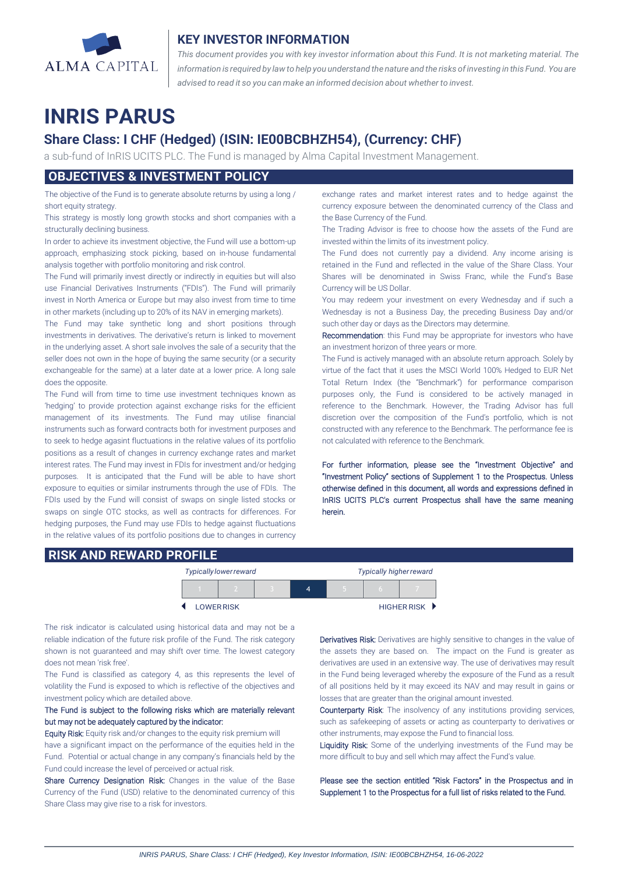

## **KEY INVESTOR INFORMATION**

*This document provides you with key investor information about this Fund. It is not marketing material. The* information is required by law to help you understand the nature and the risks of investing in this Fund. You are *advised to read it so you can make an informed decision about whether to invest.*

# **INRIS PARUS**

## **Share Class: I CHF (Hedged) (ISIN: IE00BCBHZH54), (Currency: CHF)**

a sub-fund of InRIS UCITS PLC. The Fund is managed by Alma Capital Investment Management.

## **OBJECTIVES & INVESTMENT POLICY**

The objective of the Fund is to generate absolute returns by using a long / short equity strategy.

This strategy is mostly long growth stocks and short companies with a structurally declining business.

In order to achieve its investment objective, the Fund will use a bottom-up approach, emphasizing stock picking, based on in-house fundamental analysis together with portfolio monitoring and risk control.

The Fund will primarily invest directly or indirectly in equities but will also use Financial Derivatives Instruments ("FDIs"). The Fund will primarily invest in North America or Europe but may also invest from time to time in other markets (including up to 20% of its NAV in emerging markets).

The Fund may take synthetic long and short positions through investments in derivatives. The derivative's return is linked to movement in the underlying asset. A short sale involves the sale of a security that the seller does not own in the hope of buying the same security (or a security exchangeable for the same) at a later date at a lower price. A long sale does the opposite.

The Fund will from time to time use investment techniques known as 'hedging' to provide protection against exchange risks for the efficient management of its investments. The Fund may utilise financial instruments such as forward contracts both for investment purposes and to seek to hedge agasint fluctuations in the relative values of its portfolio positions as a result of changes in currency exchange rates and market interest rates. The Fund may invest in FDIs for investment and/or hedging purposes. It is anticipated that the Fund will be able to have short exposure to equities or similar instruments through the use of FDIs. The FDIs used by the Fund will consist of swaps on single listed stocks or swaps on single OTC stocks, as well as contracts for differences. For hedging purposes, the Fund may use FDIs to hedge against fluctuations in the relative values of its portfolio positions due to changes in currency exchange rates and market interest rates and to hedge against the currency exposure between the denominated currency of the Class and the Base Currency of the Fund.

The Trading Advisor is free to choose how the assets of the Fund are invested within the limits of its investment policy.

The Fund does not currently pay a dividend. Any income arising is retained in the Fund and reflected in the value of the Share Class. Your Shares will be denominated in Swiss Franc, while the Fund's Base Currency will be US Dollar.

You may redeem your investment on every Wednesday and if such a Wednesday is not a Business Day, the preceding Business Day and/or such other day or days as the Directors may determine.

Recommendation: this Fund may be appropriate for investors who have an investment horizon of three years or more.

The Fund is actively managed with an absolute return approach. Solely by virtue of the fact that it uses the MSCI World 100% Hedged to EUR Net Total Return Index (the "Benchmark") for performance comparison purposes only, the Fund is considered to be actively managed in reference to the Benchmark. However, the Trading Advisor has full discretion over the composition of the Fund's portfolio, which is not constructed with any reference to the Benchmark. The performance fee is not calculated with reference to the Benchmark.

For further information, please see the "Investment Objective" and "Investment Policy" sections of Supplement 1 to the Prospectus. Unless otherwise defined in this document, all words and expressions defined in InRIS UCITS PLC's current Prospectus shall have the same meaning herein.

### **RISK AND REWARD PROFILE**

|                  | <b>Typically lower reward</b> |  | <b>Typically higher reward</b> |  |  |             |
|------------------|-------------------------------|--|--------------------------------|--|--|-------------|
|                  |                               |  | 4                              |  |  |             |
| <b>LOWERRISK</b> |                               |  |                                |  |  | HIGHER RISK |

The risk indicator is calculated using historical data and may not be a reliable indication of the future risk profile of the Fund. The risk category shown is not guaranteed and may shift over time. The lowest category does not mean 'risk free'.

The Fund is classified as category 4, as this represents the level of volatility the Fund is exposed to which is reflective of the objectives and investment policy which are detailed above.

#### The Fund is subject to the following risks which are materially relevant but may not be adequately captured by the indicator:

Equity Risk: Equity risk and/or changes to the equity risk premium will have a significant impact on the performance of the equities held in the Fund. Potential or actual change in any company's financials held by the Fund could increase the level of perceived or actual risk.

Share Currency Designation Risk: Changes in the value of the Base Currency of the Fund (USD) relative to the denominated currency of this Share Class may give rise to a risk for investors.

Derivatives Risk: Derivatives are highly sensitive to changes in the value of the assets they are based on. The impact on the Fund is greater as derivatives are used in an extensive way. The use of derivatives may result in the Fund being leveraged whereby the exposure of the Fund as a result of all positions held by it may exceed its NAV and may result in gains or losses that are greater than the original amount invested.

Counterparty Risk: The insolvency of any institutions providing services, such as safekeeping of assets or acting as counterparty to derivatives or other instruments, may expose the Fund to financial loss.

Liquidity Risk: Some of the underlying investments of the Fund may be more difficult to buy and sell which may affect the Fund's value.

Please see the section entitled "Risk Factors" in the Prospectus and in Supplement 1 to the Prospectus for a full list of risks related to the Fund.